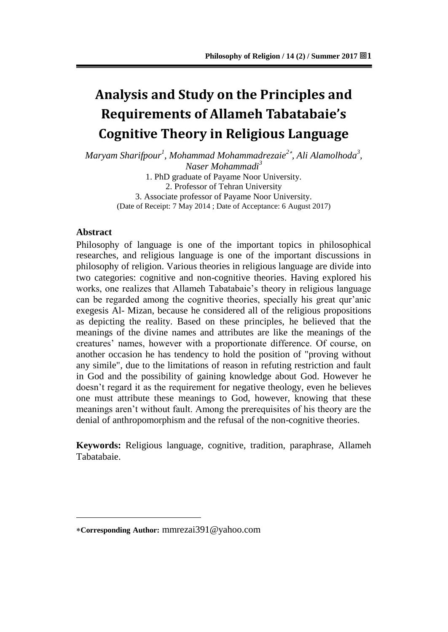# **Analysis and Study on the Principles and Requirements of Allameh Tabatabaie's Cognitive Theory in Religious Language**

*Maryam Sharifpour<sup>1</sup> , Mohammad Mohammadrezaie<sup>2</sup> , Ali Alamolhoda<sup>3</sup> , Naser Mohammadi<sup>3</sup>* 1. PhD graduate of Payame Noor University. 2. Professor of Tehran University 3. Associate professor of Payame Noor University. (Date of Receipt: 7 May 2014 ; Date of Acceptance: 6 August 2017)

### **Abstract**

 $\overline{a}$ 

Philosophy of language is one of the important topics in philosophical researches, and religious language is one of the important discussions in philosophy of religion. Various theories in religious language are divide into two categories: cognitive and non-cognitive theories. Having explored his works, one realizes that Allameh Tabatabaie"s theory in religious language can be regarded among the cognitive theories, specially his great qur'anic exegesis Al- Mizan, because he considered all of the religious propositions as depicting the reality. Based on these principles, he believed that the meanings of the divine names and attributes are like the meanings of the creatures" names, however with a proportionate difference. Of course, on another occasion he has tendency to hold the position of "proving without any simile", due to the limitations of reason in refuting restriction and fault in God and the possibility of gaining knowledge about God. However he doesn"t regard it as the requirement for negative theology, even he believes one must attribute these meanings to God, however, knowing that these meanings aren"t without fault. Among the prerequisites of his theory are the denial of anthropomorphism and the refusal of the non-cognitive theories.

**Keywords:** Religious language, cognitive, tradition, paraphrase, Allameh Tabatabaie.

**Corresponding Author:** mmrezai391@yahoo.com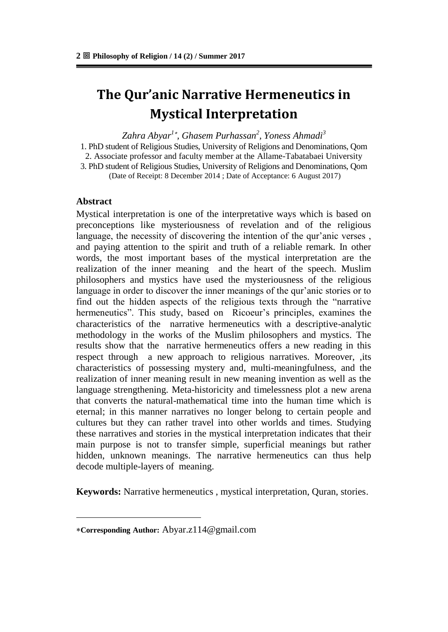### **The Qur'anic Narrative Hermeneutics in Mystical Interpretation**

*Zahra Abyar<sup>1</sup> , Ghasem Purhassan<sup>2</sup> , Yoness Ahmadi<sup>3</sup>*

1. PhD student of Religious Studies, University of Religions and Denominations, Qom 2. Associate professor and faculty member at the Allame-Tabatabaei University 3. PhD student of Religious Studies, University of Religions and Denominations, Qom (Date of Receipt: 8 December 2014 ; Date of Acceptance: 6 August 2017)

### **Abstract**

 $\overline{a}$ 

Mystical interpretation is one of the interpretative ways which is based on preconceptions like mysteriousness of revelation and of the religious language, the necessity of discovering the intention of the qur'anic verses, and paying attention to the spirit and truth of a reliable remark. In other words, the most important bases of the mystical interpretation are the realization of the inner meaning and the heart of the speech. Muslim philosophers and mystics have used the mysteriousness of the religious language in order to discover the inner meanings of the qur'anic stories or to find out the hidden aspects of the religious texts through the "narrative hermeneutics". This study, based on Ricoeur's principles, examines the characteristics of the narrative hermeneutics with a descriptive-analytic methodology in the works of the Muslim philosophers and mystics. The results show that the narrative hermeneutics offers a new reading in this respect through a new approach to religious narratives. Moreover, ,its characteristics of possessing mystery and, multi-meaningfulness, and the realization of inner meaning result in new meaning invention as well as the language strengthening. Meta-historicity and timelessness plot a new arena that converts the natural-mathematical time into the human time which is eternal; in this manner narratives no longer belong to certain people and cultures but they can rather travel into other worlds and times. Studying these narratives and stories in the mystical interpretation indicates that their main purpose is not to transfer simple, superficial meanings but rather hidden, unknown meanings. The narrative hermeneutics can thus help decode multiple-layers of meaning.

**Keywords:** Narrative hermeneutics , mystical interpretation, Quran, stories.

**Corresponding Author:** Abyar.z114@gmail.com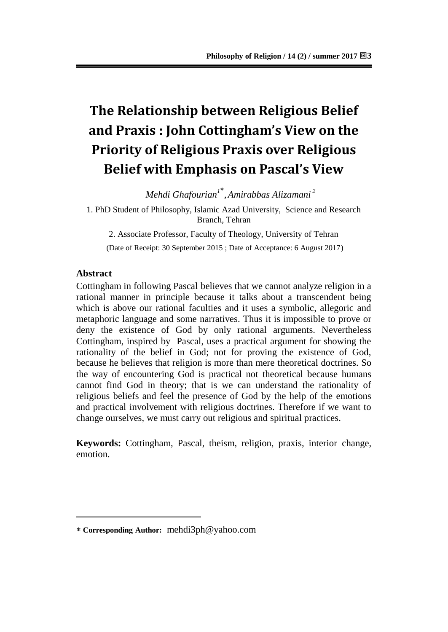# **The Relationship between Religious Belief and Praxis : John Cottingham's View on the Priority of Religious Praxis over Religious Belief with Emphasis on Pascal's View**

*Mehdi Ghafourian<sup>1</sup> ,Amirabbas Alizamani <sup>2</sup>*

1. PhD Student of Philosophy, Islamic Azad University, Science and Research Branch, Tehran

2. Associate Professor, Faculty of Theology, University of Tehran

(Date of Receipt: 30 September 2015 ; Date of Acceptance: 6 August 2017)

### **Abstract**

 $\overline{a}$ 

Cottingham in following Pascal believes that we cannot analyze religion in a rational manner in principle because it talks about a transcendent being which is above our rational faculties and it uses a symbolic, allegoric and metaphoric language and some narratives. Thus it is impossible to prove or deny the existence of God by only rational arguments. Nevertheless Cottingham, inspired by Pascal, uses a practical argument for showing the rationality of the belief in God; not for proving the existence of God, because he believes that religion is more than mere theoretical doctrines. So the way of encountering God is practical not theoretical because humans cannot find God in theory; that is we can understand the rationality of religious beliefs and feel the presence of God by the help of the emotions and practical involvement with religious doctrines. Therefore if we want to change ourselves, we must carry out religious and spiritual practices.

**Keywords:** Cottingham, Pascal, theism, religion, praxis, interior change, emotion.

**Corresponding Author:** mehdi3ph@yahoo.com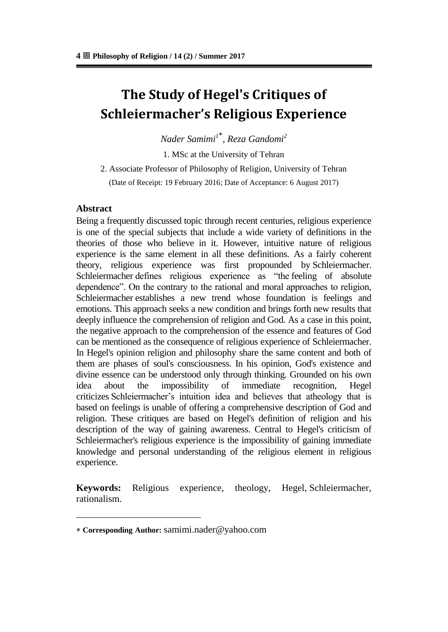### **The Study of Hegel's Critiques of Schleiermacher's Religious Experience**

*Nader Samimi<sup>1</sup> , Reza Gandomi<sup>2</sup>*

1. MSc at the University of Tehran

2. Associate Professor of Philosophy of Religion, University of Tehran (Date of Receipt: 19 February 2016; Date of Acceptance: 6 August 2017)

### **Abstract**

 $\overline{a}$ 

Being a frequently discussed topic through recent centuries, religious experience is one of the special subjects that include a wide variety of definitions in the theories of those who believe in it. However, intuitive nature of religious experience is the same element in all these definitions. As a fairly coherent theory, religious experience was first propounded by Schleiermacher. Schleiermacher defines religious experience as "the feeling of absolute dependence". On the contrary to the rational and moral approaches to religion, Schleiermacher establishes a new trend whose foundation is feelings and emotions. This approach seeks a new condition and brings forth new results that deeply influence the comprehension of religion and God. As a case in this point, the negative approach to the comprehension of the essence and features of God can be mentioned as the consequence of religious experience of Schleiermacher. In Hegel's opinion religion and philosophy share the same content and both of them are phases of soul's consciousness. In his opinion, God's existence and divine essence can be understood only through thinking. Grounded on his own idea about the impossibility of immediate recognition, Hegel criticizes Schleiermacher"s intuition idea and believes that atheology that is based on feelings is unable of offering a comprehensive description of God and religion. These critiques are based on Hegel's definition of religion and his description of the way of gaining awareness. Central to Hegel's criticism of Schleiermacher's religious experience is the impossibility of gaining immediate knowledge and personal understanding of the religious element in religious experience.

**Keywords:** Religious experience, theology, Hegel, Schleiermacher, rationalism.

**Corresponding Author:** samimi.nader@yahoo.com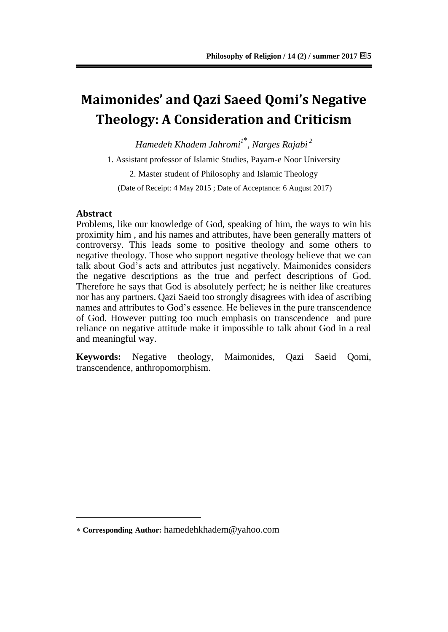### **Maimonides' and Qazi Saeed Qomi's Negative Theology: A Consideration and Criticism**

*Hamedeh Khadem Jahromi<sup>1</sup> , Narges Rajabi <sup>2</sup>*

1. Assistant professor of Islamic Studies, Payam-e Noor University

2. Master student of Philosophy and Islamic Theology

(Date of Receipt: 4 May 2015 ; Date of Acceptance: 6 August 2017)

### **Abstract**

 $\overline{a}$ 

Problems, like our knowledge of God, speaking of him, the ways to win his proximity him , and his names and attributes, have been generally matters of controversy. This leads some to positive theology and some others to negative theology. Those who support negative theology believe that we can talk about God"s acts and attributes just negatively. Maimonides considers the negative descriptions as the true and perfect descriptions of God. Therefore he says that God is absolutely perfect; he is neither like creatures nor has any partners. Qazi Saeid too strongly disagrees with idea of ascribing names and attributes to God"s essence. He believes in the pure transcendence of God. However putting too much emphasis on transcendence and pure reliance on negative attitude make it impossible to talk about God in a real and meaningful way.

**Keywords:** Negative theology, Maimonides, Qazi Saeid Qomi, transcendence, anthropomorphism.

**Corresponding Author:** hamedehkhadem@yahoo.com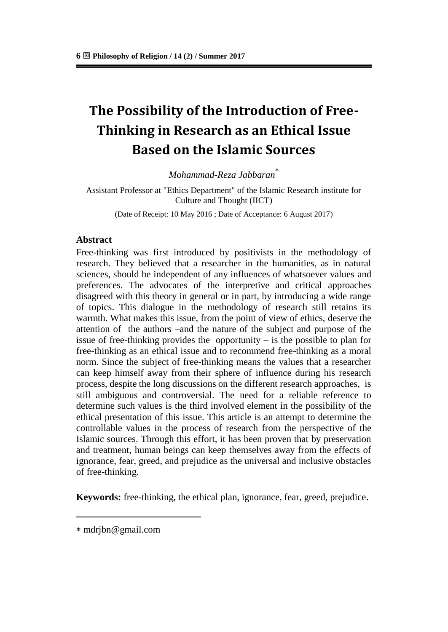## **The Possibility of the Introduction of Free-Thinking in Research as an Ethical Issue Based on the Islamic Sources**

*Mohammad-Reza Jabbaran*

Assistant Professor at "Ethics Department" of the Islamic Research institute for Culture and Thought (IICT)

(Date of Receipt: 10 May 2016 ; Date of Acceptance: 6 August 2017)

#### **Abstract**

Free-thinking was first introduced by positivists in the methodology of research. They believed that a researcher in the humanities, as in natural sciences, should be independent of any influences of whatsoever values and preferences. The advocates of the interpretive and critical approaches disagreed with this theory in general or in part, by introducing a wide range of topics. This dialogue in the methodology of research still retains its warmth. What makes this issue, from the point of view of ethics, deserve the attention of the authors –and the nature of the subject and purpose of the issue of free-thinking provides the opportunity – is the possible to plan for free-thinking as an ethical issue and to recommend free-thinking as a moral norm. Since the subject of free-thinking means the values that a researcher can keep himself away from their sphere of influence during his research process, despite the long discussions on the different research approaches, is still ambiguous and controversial. The need for a reliable reference to determine such values is the third involved element in the possibility of the ethical presentation of this issue. This article is an attempt to determine the controllable values in the process of research from the perspective of the Islamic sources. Through this effort, it has been proven that by preservation and treatment, human beings can keep themselves away from the effects of ignorance, fear, greed, and prejudice as the universal and inclusive obstacles of free-thinking.

**Keywords:** free-thinking, the ethical plan, ignorance, fear, greed, prejudice.

mdrjbn@gmail.com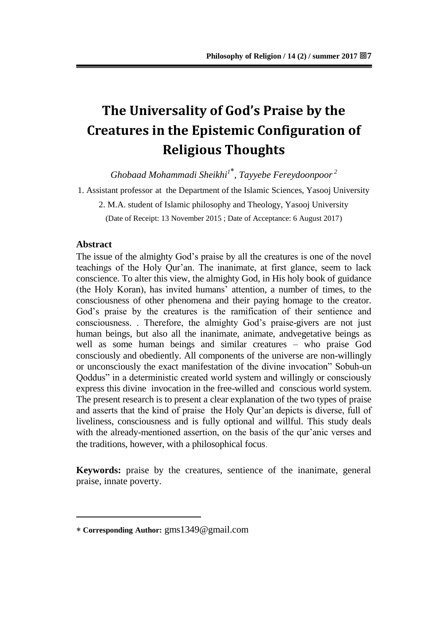# **The Universality of God's Praise by the Creatures in the Epistemic Configuration of Religious Thoughts**

*Ghobaad Mohammadi Sheikhi<sup>1</sup> , Tayyebe Fereydoonpoor <sup>2</sup>*

1. Assistant professor at the Department of the Islamic Sciences, Yasooj University

2. M.A. student of Islamic philosophy and Theology, Yasooj University

(Date of Receipt: 13 November 2015 ; Date of Acceptance: 6 August 2017)

#### **Abstract**

 $\overline{a}$ 

The issue of the almighty God"s praise by all the creatures is one of the novel teachings of the Holy Qur"an. The inanimate, at first glance, seem to lack conscience. To alter this view, the almighty God, in His holy book of guidance (the Holy Koran), has invited humans" attention, a number of times, to the consciousness of other phenomena and their paying homage to the creator. God"s praise by the creatures is the ramification of their sentience and consciousness. . Therefore, the almighty God"s praise-givers are not just human beings, but also all the inanimate, animate, andvegetative beings as well as some human beings and similar creatures – who praise God consciously and obediently. All components of the universe are non-willingly or unconsciously the exact manifestation of the divine invocation" Sobuh-un Qoddus" in a deterministic created world system and willingly or consciously express this divine invocation in the free-willed and conscious world system. The present research is to present a clear explanation of the two types of praise and asserts that the kind of praise the Holy Qur"an depicts is diverse, full of liveliness, consciousness and is fully optional and willful. This study deals with the already-mentioned assertion, on the basis of the qur'anic verses and the traditions, however, with a philosophical focus.

**Keywords:** praise by the creatures, sentience of the inanimate, general praise, innate poverty.

**Corresponding Author:** gms1349@gmail.com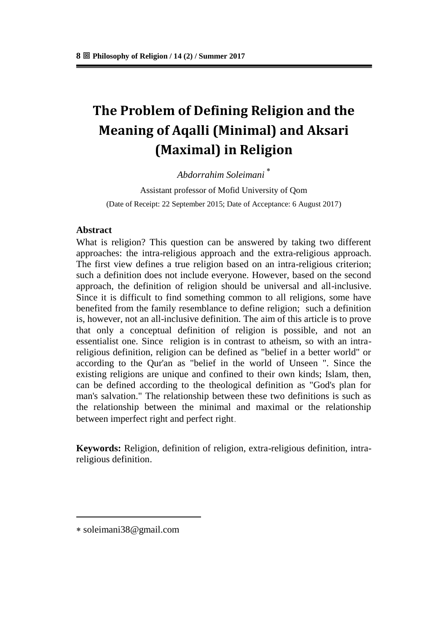# **The Problem of Defining Religion and the Meaning of Aqalli (Minimal) and Aksari (Maximal) in Religion**

*Abdorrahim Soleimani*

Assistant professor of Mofid University of Qom (Date of Receipt: 22 September 2015; Date of Acceptance: 6 August 2017)

### **Abstract**

What is religion? This question can be answered by taking two different approaches: the intra-religious approach and the extra-religious approach. The first view defines a true religion based on an intra-religious criterion; such a definition does not include everyone. However, based on the second approach, the definition of religion should be universal and all-inclusive. Since it is difficult to find something common to all religions, some have benefited from the family resemblance to define religion; such a definition is, however, not an all-inclusive definition. The aim of this article is to prove that only a conceptual definition of religion is possible, and not an essentialist one. Since religion is in contrast to atheism, so with an intrareligious definition, religion can be defined as "belief in a better world" or according to the Qur'an as "belief in the world of Unseen ". Since the existing religions are unique and confined to their own kinds; Islam, then, can be defined according to the theological definition as "God's plan for man's salvation." The relationship between these two definitions is such as the relationship between the minimal and maximal or the relationship between imperfect right and perfect right.

**Keywords:** Religion, definition of religion, extra-religious definition, intrareligious definition.

soleimani38@gmail.com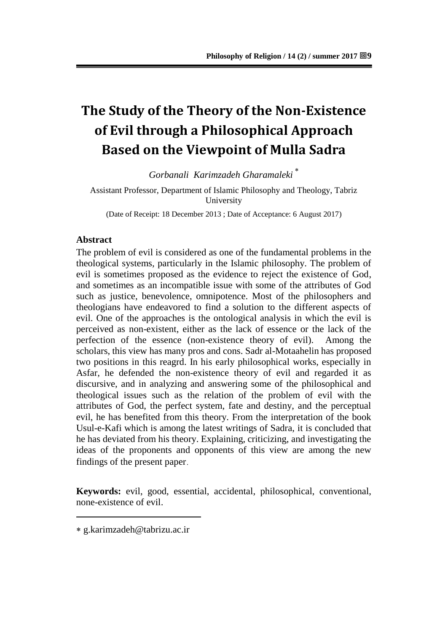# **The Study of the Theory of the Non-Existence of Evil through a Philosophical Approach Based on the Viewpoint of Mulla Sadra**

*Gorbanali Karimzadeh Gharamaleki*

Assistant Professor, Department of Islamic Philosophy and Theology, Tabriz University

(Date of Receipt: 18 December 2013 ; Date of Acceptance: 6 August 2017)

#### **Abstract**

The problem of evil is considered as one of the fundamental problems in the theological systems, particularly in the Islamic philosophy. The problem of evil is sometimes proposed as the evidence to reject the existence of God, and sometimes as an incompatible issue with some of the attributes of God such as justice, benevolence, omnipotence. Most of the philosophers and theologians have endeavored to find a solution to the different aspects of evil. One of the approaches is the ontological analysis in which the evil is perceived as non-existent, either as the lack of essence or the lack of the perfection of the essence (non-existence theory of evil). Among the scholars, this view has many pros and cons. Sadr al-Motaahelin has proposed two positions in this reagrd. In his early philosophical works, especially in Asfar, he defended the non-existence theory of evil and regarded it as discursive, and in analyzing and answering some of the philosophical and theological issues such as the relation of the problem of evil with the attributes of God, the perfect system, fate and destiny, and the perceptual evil, he has benefited from this theory. From the interpretation of the book Usul-e-Kafi which is among the latest writings of Sadra, it is concluded that he has deviated from his theory. Explaining, criticizing, and investigating the ideas of the proponents and opponents of this view are among the new findings of the present paper.

**Keywords:** evil, good, essential, accidental, philosophical, conventional, none-existence of evil.

g.karimzadeh@tabrizu.ac.ir